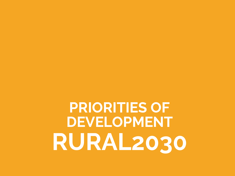**PRIORITIES OF DEVELOPMENT RURAL2030**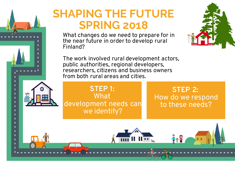



**STEP 2:**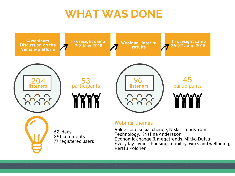# **WHAT WAS DONE**

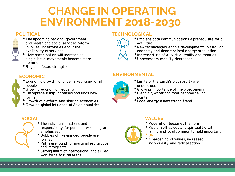# **CHANGE IN OPERATING ENVIRONMENT 2018-2030**

#### **POLITICAL**



- •The upcoming regional government and health and social services reform involves uncertainties about the availability of services
- •Civic participation will increase as single-issue movements become more common
- •Regional focus strengthens

#### **ECONOMIC**

- •Economic growth no longer a key issue for all people
- •Growing economic inequality
- •Entrepreneurship increases and finds new forms
- •Growth of platform and sharing economies
- •Growing global influence of Asian countries

### **TECHNOLOGICAL**

- •Efficient data communications a prerequisite for all activities
- •New technologies enable developments in circular economy and decentralised energy production
- •Increased use of AI, virtual reality and robotics
- •Unnecessary mobility decreases

#### **ENVIRONMENTAL**



- •Growing importance of the bioeconomy
- •Clean air, water and food become selling points
- •Local energy a new strong trend

#### **VALUES**

• Moderation becomes the norm



- •Rise of soft values and spirituality, with family and local community held important  $^{\bullet}$  OR
- •A hardening of values, increased individuality and radicalisation

#### **SOCIAL**

- •The individual's actions and responsibility for personal wellbeing are
	- emphasised
	- •Bubbles of like-minded people are formed
	- •Paths are found for marginalised groups and immigrants
	- •Strong influx of international and skilled workforce to rural areas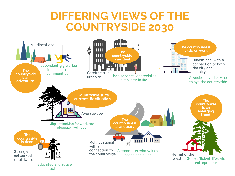## **DIFFERING VIEWS OF THE COUNTRYSIDE 2030**

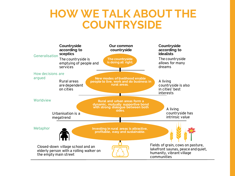## **HOW WE TALK ABOUT THE COUNTRYSIDE**

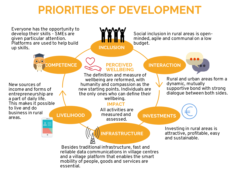# **PRIORITIES OF DEVELOPMENT**

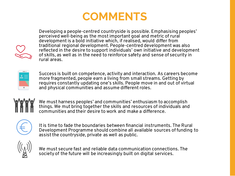



Developing a people-centred countryside is possible. Emphasising peoples' perceived well-being as the most important goal and metric of rural development is a bold initiative which, if realised, would differ from traditional regional development. People-centred development was also reflected in the desire to support individuals' own initiative and development of skills, as well as in the need to reinforce safety and sense of security in rural areas.



Success is built on competence, activity and interaction. As careers become more fragmented, people earn a living from small streams. Getting by requires constantly updating one's skills. People move in and out of virtual and physical communities and assume different roles.



We must harness peoples' and communities' enthusiasm to accomplish things. We mut bring together the skills and resources of individuals and communities and their desire to work and make a difference.



It is time to fade the boundaries between financial instruments. The Rural Development Programme should combine all available sources of funding to assist the countryside, private as well as public.



We must secure fast and reliable data communication connections. The society of the future will be increasingly built on digital services.